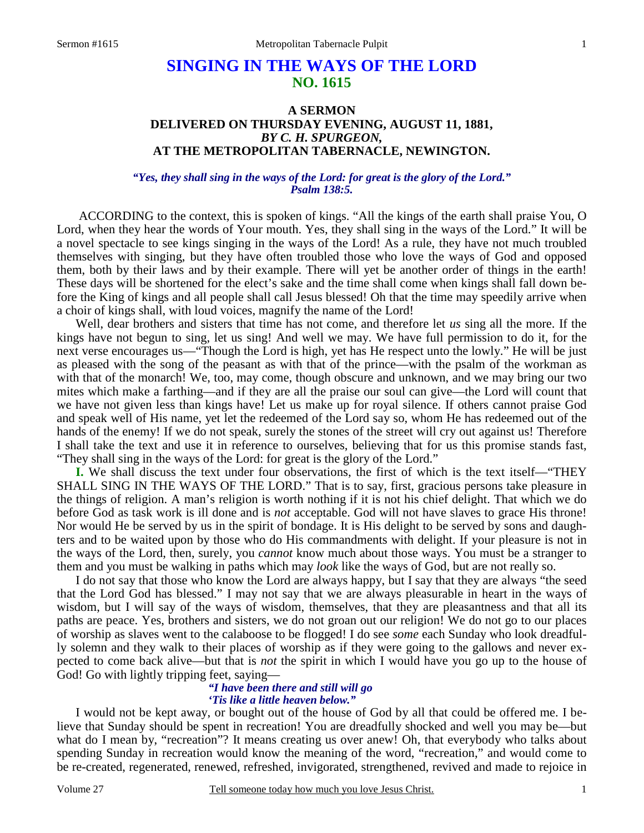# **SINGING IN THE WAYS OF THE LORD NO. 1615**

# **A SERMON DELIVERED ON THURSDAY EVENING, AUGUST 11, 1881,**  *BY C. H. SPURGEON,*  **AT THE METROPOLITAN TABERNACLE, NEWINGTON.**

*"Yes, they shall sing in the ways of the Lord: for great is the glory of the Lord." Psalm 138:5.* 

ACCORDING to the context, this is spoken of kings. "All the kings of the earth shall praise You, O Lord, when they hear the words of Your mouth. Yes, they shall sing in the ways of the Lord." It will be a novel spectacle to see kings singing in the ways of the Lord! As a rule, they have not much troubled themselves with singing, but they have often troubled those who love the ways of God and opposed them, both by their laws and by their example. There will yet be another order of things in the earth! These days will be shortened for the elect's sake and the time shall come when kings shall fall down before the King of kings and all people shall call Jesus blessed! Oh that the time may speedily arrive when a choir of kings shall, with loud voices, magnify the name of the Lord!

 Well, dear brothers and sisters that time has not come, and therefore let *us* sing all the more. If the kings have not begun to sing, let us sing! And well we may. We have full permission to do it, for the next verse encourages us—"Though the Lord is high, yet has He respect unto the lowly." He will be just as pleased with the song of the peasant as with that of the prince—with the psalm of the workman as with that of the monarch! We, too, may come, though obscure and unknown, and we may bring our two mites which make a farthing—and if they are all the praise our soul can give—the Lord will count that we have not given less than kings have! Let us make up for royal silence. If others cannot praise God and speak well of His name, yet let the redeemed of the Lord say so, whom He has redeemed out of the hands of the enemy! If we do not speak, surely the stones of the street will cry out against us! Therefore I shall take the text and use it in reference to ourselves, believing that for us this promise stands fast, "They shall sing in the ways of the Lord: for great is the glory of the Lord."

**I.** We shall discuss the text under four observations, the first of which is the text itself—"THEY SHALL SING IN THE WAYS OF THE LORD." That is to say, first, gracious persons take pleasure in the things of religion. A man's religion is worth nothing if it is not his chief delight. That which we do before God as task work is ill done and is *not* acceptable. God will not have slaves to grace His throne! Nor would He be served by us in the spirit of bondage. It is His delight to be served by sons and daughters and to be waited upon by those who do His commandments with delight. If your pleasure is not in the ways of the Lord, then, surely, you *cannot* know much about those ways. You must be a stranger to them and you must be walking in paths which may *look* like the ways of God, but are not really so.

 I do not say that those who know the Lord are always happy, but I say that they are always "the seed that the Lord God has blessed." I may not say that we are always pleasurable in heart in the ways of wisdom, but I will say of the ways of wisdom, themselves, that they are pleasantness and that all its paths are peace. Yes, brothers and sisters, we do not groan out our religion! We do not go to our places of worship as slaves went to the calaboose to be flogged! I do see *some* each Sunday who look dreadfully solemn and they walk to their places of worship as if they were going to the gallows and never expected to come back alive—but that is *not* the spirit in which I would have you go up to the house of God! Go with lightly tripping feet, saying—

### *"I have been there and still will go 'Tis like a little heaven below."*

I would not be kept away, or bought out of the house of God by all that could be offered me. I believe that Sunday should be spent in recreation! You are dreadfully shocked and well you may be—but what do I mean by, "recreation"? It means creating us over anew! Oh, that everybody who talks about spending Sunday in recreation would know the meaning of the word, "recreation," and would come to be re-created, regenerated, renewed, refreshed, invigorated, strengthened, revived and made to rejoice in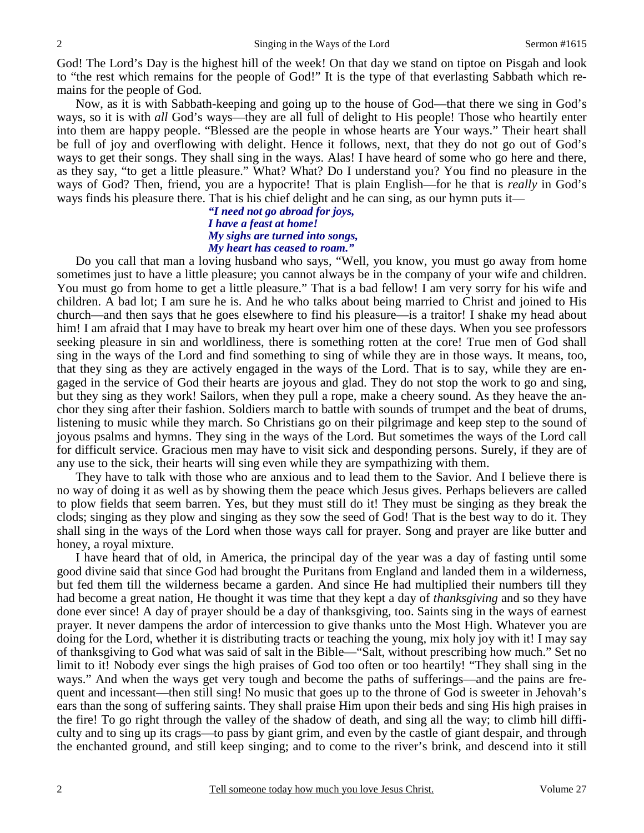God! The Lord's Day is the highest hill of the week! On that day we stand on tiptoe on Pisgah and look to "the rest which remains for the people of God!" It is the type of that everlasting Sabbath which remains for the people of God.

 Now, as it is with Sabbath-keeping and going up to the house of God—that there we sing in God's ways, so it is with *all* God's ways—they are all full of delight to His people! Those who heartily enter into them are happy people. "Blessed are the people in whose hearts are Your ways." Their heart shall be full of joy and overflowing with delight. Hence it follows, next, that they do not go out of God's ways to get their songs. They shall sing in the ways. Alas! I have heard of some who go here and there, as they say, "to get a little pleasure." What? What? Do I understand you? You find no pleasure in the ways of God? Then, friend, you are a hypocrite! That is plain English—for he that is *really* in God's ways finds his pleasure there. That is his chief delight and he can sing, as our hymn puts it—

### *"I need not go abroad for joys, I have a feast at home! My sighs are turned into songs, My heart has ceased to roam."*

Do you call that man a loving husband who says, "Well, you know, you must go away from home sometimes just to have a little pleasure; you cannot always be in the company of your wife and children. You must go from home to get a little pleasure." That is a bad fellow! I am very sorry for his wife and children. A bad lot; I am sure he is. And he who talks about being married to Christ and joined to His church—and then says that he goes elsewhere to find his pleasure—is a traitor! I shake my head about him! I am afraid that I may have to break my heart over him one of these days. When you see professors seeking pleasure in sin and worldliness, there is something rotten at the core! True men of God shall sing in the ways of the Lord and find something to sing of while they are in those ways. It means, too, that they sing as they are actively engaged in the ways of the Lord. That is to say, while they are engaged in the service of God their hearts are joyous and glad. They do not stop the work to go and sing, but they sing as they work! Sailors, when they pull a rope, make a cheery sound. As they heave the anchor they sing after their fashion. Soldiers march to battle with sounds of trumpet and the beat of drums, listening to music while they march. So Christians go on their pilgrimage and keep step to the sound of joyous psalms and hymns. They sing in the ways of the Lord. But sometimes the ways of the Lord call for difficult service. Gracious men may have to visit sick and desponding persons. Surely, if they are of any use to the sick, their hearts will sing even while they are sympathizing with them.

 They have to talk with those who are anxious and to lead them to the Savior. And I believe there is no way of doing it as well as by showing them the peace which Jesus gives. Perhaps believers are called to plow fields that seem barren. Yes, but they must still do it! They must be singing as they break the clods; singing as they plow and singing as they sow the seed of God! That is the best way to do it. They shall sing in the ways of the Lord when those ways call for prayer. Song and prayer are like butter and honey, a royal mixture.

 I have heard that of old, in America, the principal day of the year was a day of fasting until some good divine said that since God had brought the Puritans from England and landed them in a wilderness, but fed them till the wilderness became a garden. And since He had multiplied their numbers till they had become a great nation, He thought it was time that they kept a day of *thanksgiving* and so they have done ever since! A day of prayer should be a day of thanksgiving, too. Saints sing in the ways of earnest prayer. It never dampens the ardor of intercession to give thanks unto the Most High. Whatever you are doing for the Lord, whether it is distributing tracts or teaching the young, mix holy joy with it! I may say of thanksgiving to God what was said of salt in the Bible—"Salt, without prescribing how much." Set no limit to it! Nobody ever sings the high praises of God too often or too heartily! "They shall sing in the ways." And when the ways get very tough and become the paths of sufferings—and the pains are frequent and incessant—then still sing! No music that goes up to the throne of God is sweeter in Jehovah's ears than the song of suffering saints. They shall praise Him upon their beds and sing His high praises in the fire! To go right through the valley of the shadow of death, and sing all the way; to climb hill difficulty and to sing up its crags—to pass by giant grim, and even by the castle of giant despair, and through the enchanted ground, and still keep singing; and to come to the river's brink, and descend into it still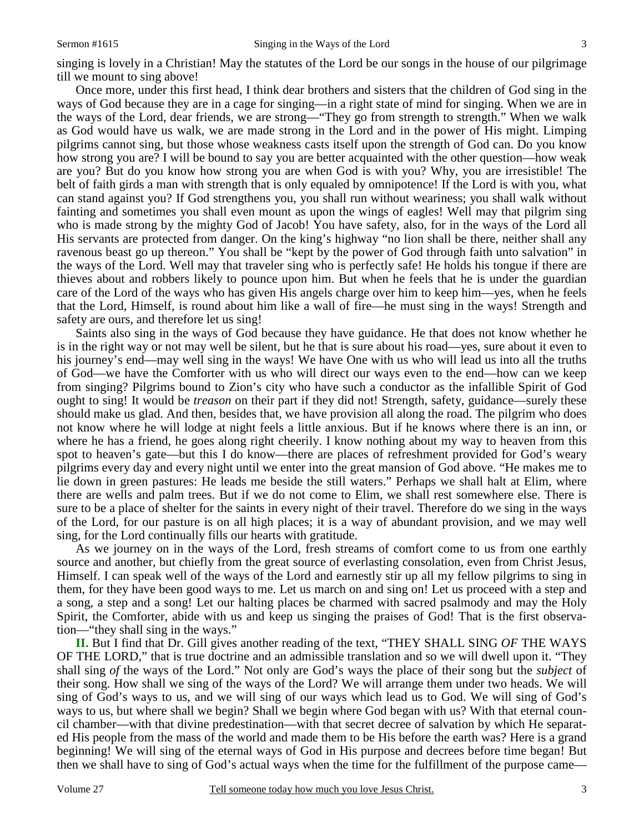singing is lovely in a Christian! May the statutes of the Lord be our songs in the house of our pilgrimage till we mount to sing above!

 Once more, under this first head, I think dear brothers and sisters that the children of God sing in the ways of God because they are in a cage for singing—in a right state of mind for singing. When we are in the ways of the Lord, dear friends, we are strong—"They go from strength to strength." When we walk as God would have us walk, we are made strong in the Lord and in the power of His might. Limping pilgrims cannot sing, but those whose weakness casts itself upon the strength of God can. Do you know how strong you are? I will be bound to say you are better acquainted with the other question—how weak are you? But do you know how strong you are when God is with you? Why, you are irresistible! The belt of faith girds a man with strength that is only equaled by omnipotence! If the Lord is with you, what can stand against you? If God strengthens you, you shall run without weariness; you shall walk without fainting and sometimes you shall even mount as upon the wings of eagles! Well may that pilgrim sing who is made strong by the mighty God of Jacob! You have safety, also, for in the ways of the Lord all His servants are protected from danger. On the king's highway "no lion shall be there, neither shall any ravenous beast go up thereon." You shall be "kept by the power of God through faith unto salvation" in the ways of the Lord. Well may that traveler sing who is perfectly safe! He holds his tongue if there are thieves about and robbers likely to pounce upon him. But when he feels that he is under the guardian care of the Lord of the ways who has given His angels charge over him to keep him—yes, when he feels that the Lord, Himself, is round about him like a wall of fire—he must sing in the ways! Strength and safety are ours, and therefore let us sing!

 Saints also sing in the ways of God because they have guidance. He that does not know whether he is in the right way or not may well be silent, but he that is sure about his road—yes, sure about it even to his journey's end—may well sing in the ways! We have One with us who will lead us into all the truths of God—we have the Comforter with us who will direct our ways even to the end—how can we keep from singing? Pilgrims bound to Zion's city who have such a conductor as the infallible Spirit of God ought to sing! It would be *treason* on their part if they did not! Strength, safety, guidance—surely these should make us glad. And then, besides that, we have provision all along the road. The pilgrim who does not know where he will lodge at night feels a little anxious. But if he knows where there is an inn, or where he has a friend, he goes along right cheerily. I know nothing about my way to heaven from this spot to heaven's gate—but this I do know—there are places of refreshment provided for God's weary pilgrims every day and every night until we enter into the great mansion of God above. "He makes me to lie down in green pastures: He leads me beside the still waters." Perhaps we shall halt at Elim, where there are wells and palm trees. But if we do not come to Elim, we shall rest somewhere else. There is sure to be a place of shelter for the saints in every night of their travel. Therefore do we sing in the ways of the Lord, for our pasture is on all high places; it is a way of abundant provision, and we may well sing, for the Lord continually fills our hearts with gratitude.

 As we journey on in the ways of the Lord, fresh streams of comfort come to us from one earthly source and another, but chiefly from the great source of everlasting consolation, even from Christ Jesus, Himself. I can speak well of the ways of the Lord and earnestly stir up all my fellow pilgrims to sing in them, for they have been good ways to me. Let us march on and sing on! Let us proceed with a step and a song, a step and a song! Let our halting places be charmed with sacred psalmody and may the Holy Spirit, the Comforter, abide with us and keep us singing the praises of God! That is the first observation—"they shall sing in the ways."

**II.** But I find that Dr. Gill gives another reading of the text, "THEY SHALL SING *OF* THE WAYS OF THE LORD," that is true doctrine and an admissible translation and so we will dwell upon it. "They shall sing *of* the ways of the Lord." Not only are God's ways the place of their song but the *subject* of their song. How shall we sing of the ways of the Lord? We will arrange them under two heads. We will sing of God's ways to us, and we will sing of our ways which lead us to God. We will sing of God's ways to us, but where shall we begin? Shall we begin where God began with us? With that eternal council chamber—with that divine predestination—with that secret decree of salvation by which He separated His people from the mass of the world and made them to be His before the earth was? Here is a grand beginning! We will sing of the eternal ways of God in His purpose and decrees before time began! But then we shall have to sing of God's actual ways when the time for the fulfillment of the purpose came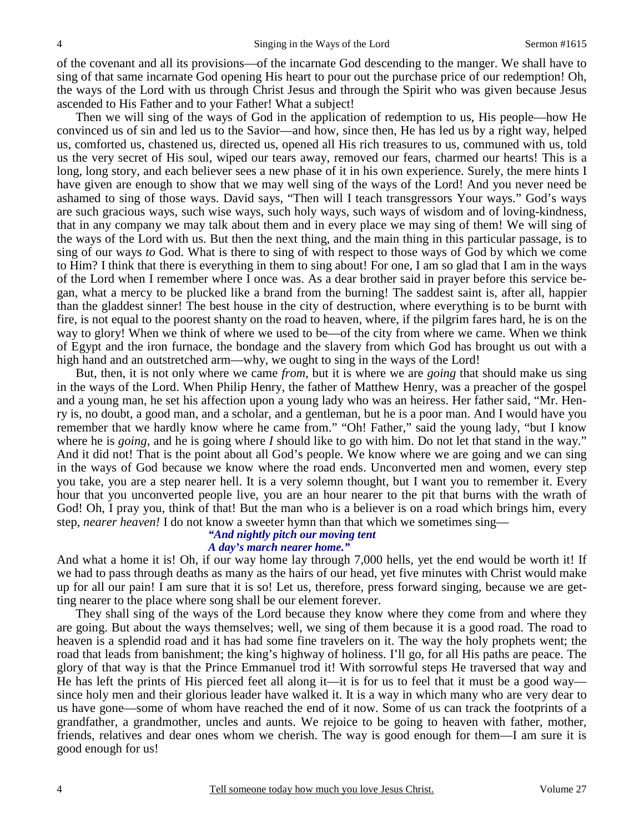of the covenant and all its provisions—of the incarnate God descending to the manger. We shall have to sing of that same incarnate God opening His heart to pour out the purchase price of our redemption! Oh, the ways of the Lord with us through Christ Jesus and through the Spirit who was given because Jesus ascended to His Father and to your Father! What a subject!

 Then we will sing of the ways of God in the application of redemption to us, His people—how He convinced us of sin and led us to the Savior—and how, since then, He has led us by a right way, helped us, comforted us, chastened us, directed us, opened all His rich treasures to us, communed with us, told us the very secret of His soul, wiped our tears away, removed our fears, charmed our hearts! This is a long, long story, and each believer sees a new phase of it in his own experience. Surely, the mere hints I have given are enough to show that we may well sing of the ways of the Lord! And you never need be ashamed to sing of those ways. David says, "Then will I teach transgressors Your ways." God's ways are such gracious ways, such wise ways, such holy ways, such ways of wisdom and of loving-kindness, that in any company we may talk about them and in every place we may sing of them! We will sing of the ways of the Lord with us. But then the next thing, and the main thing in this particular passage, is to sing of our ways *to* God. What is there to sing of with respect to those ways of God by which we come to Him? I think that there is everything in them to sing about! For one, I am so glad that I am in the ways of the Lord when I remember where I once was. As a dear brother said in prayer before this service began, what a mercy to be plucked like a brand from the burning! The saddest saint is, after all, happier than the gladdest sinner! The best house in the city of destruction, where everything is to be burnt with fire, is not equal to the poorest shanty on the road to heaven, where, if the pilgrim fares hard, he is on the way to glory! When we think of where we used to be—of the city from where we came. When we think of Egypt and the iron furnace, the bondage and the slavery from which God has brought us out with a high hand and an outstretched arm—why, we ought to sing in the ways of the Lord!

 But, then, it is not only where we came *from*, but it is where we are *going* that should make us sing in the ways of the Lord. When Philip Henry, the father of Matthew Henry, was a preacher of the gospel and a young man, he set his affection upon a young lady who was an heiress. Her father said, "Mr. Henry is, no doubt, a good man, and a scholar, and a gentleman, but he is a poor man. And I would have you remember that we hardly know where he came from." "Oh! Father," said the young lady, "but I know where he is *going,* and he is going where *I* should like to go with him. Do not let that stand in the way." And it did not! That is the point about all God's people. We know where we are going and we can sing in the ways of God because we know where the road ends. Unconverted men and women, every step you take, you are a step nearer hell. It is a very solemn thought, but I want you to remember it. Every hour that you unconverted people live, you are an hour nearer to the pit that burns with the wrath of God! Oh, I pray you, think of that! But the man who is a believer is on a road which brings him, every step, *nearer heaven!* I do not know a sweeter hymn than that which we sometimes sing—

### *"And nightly pitch our moving tent*

## *A day's march nearer home."*

And what a home it is! Oh, if our way home lay through 7,000 hells, yet the end would be worth it! If we had to pass through deaths as many as the hairs of our head, yet five minutes with Christ would make up for all our pain! I am sure that it is so! Let us, therefore, press forward singing, because we are getting nearer to the place where song shall be our element forever.

 They shall sing of the ways of the Lord because they know where they come from and where they are going. But about the ways themselves; well, we sing of them because it is a good road. The road to heaven is a splendid road and it has had some fine travelers on it. The way the holy prophets went; the road that leads from banishment; the king's highway of holiness. I'll go, for all His paths are peace. The glory of that way is that the Prince Emmanuel trod it! With sorrowful steps He traversed that way and He has left the prints of His pierced feet all along it—it is for us to feel that it must be a good way since holy men and their glorious leader have walked it. It is a way in which many who are very dear to us have gone—some of whom have reached the end of it now. Some of us can track the footprints of a grandfather, a grandmother, uncles and aunts. We rejoice to be going to heaven with father, mother, friends, relatives and dear ones whom we cherish. The way is good enough for them—I am sure it is good enough for us!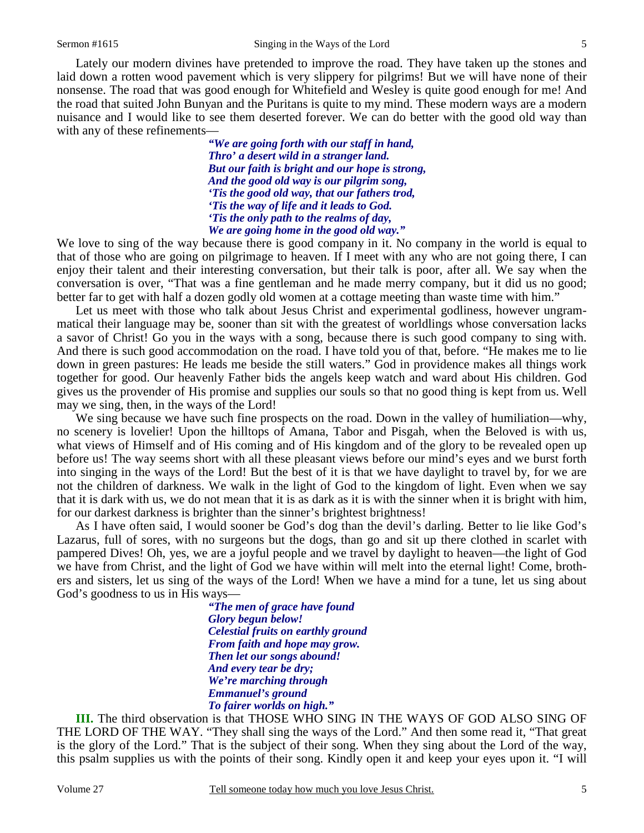Lately our modern divines have pretended to improve the road. They have taken up the stones and laid down a rotten wood pavement which is very slippery for pilgrims! But we will have none of their

nonsense. The road that was good enough for Whitefield and Wesley is quite good enough for me! And the road that suited John Bunyan and the Puritans is quite to my mind. These modern ways are a modern nuisance and I would like to see them deserted forever. We can do better with the good old way than with any of these refinements—

*"We are going forth with our staff in hand, Thro' a desert wild in a stranger land. But our faith is bright and our hope is strong, And the good old way is our pilgrim song, 'Tis the good old way, that our fathers trod, 'Tis the way of life and it leads to God. 'Tis the only path to the realms of day, We are going home in the good old way."* 

We love to sing of the way because there is good company in it. No company in the world is equal to that of those who are going on pilgrimage to heaven. If I meet with any who are not going there, I can enjoy their talent and their interesting conversation, but their talk is poor, after all. We say when the conversation is over, "That was a fine gentleman and he made merry company, but it did us no good; better far to get with half a dozen godly old women at a cottage meeting than waste time with him."

 Let us meet with those who talk about Jesus Christ and experimental godliness, however ungrammatical their language may be, sooner than sit with the greatest of worldlings whose conversation lacks a savor of Christ! Go you in the ways with a song, because there is such good company to sing with. And there is such good accommodation on the road. I have told you of that, before. "He makes me to lie down in green pastures: He leads me beside the still waters." God in providence makes all things work together for good. Our heavenly Father bids the angels keep watch and ward about His children. God gives us the provender of His promise and supplies our souls so that no good thing is kept from us. Well may we sing, then, in the ways of the Lord!

We sing because we have such fine prospects on the road. Down in the valley of humiliation—why, no scenery is lovelier! Upon the hilltops of Amana, Tabor and Pisgah, when the Beloved is with us, what views of Himself and of His coming and of His kingdom and of the glory to be revealed open up before us! The way seems short with all these pleasant views before our mind's eyes and we burst forth into singing in the ways of the Lord! But the best of it is that we have daylight to travel by, for we are not the children of darkness. We walk in the light of God to the kingdom of light. Even when we say that it is dark with us, we do not mean that it is as dark as it is with the sinner when it is bright with him, for our darkest darkness is brighter than the sinner's brightest brightness!

 As I have often said, I would sooner be God's dog than the devil's darling. Better to lie like God's Lazarus, full of sores, with no surgeons but the dogs, than go and sit up there clothed in scarlet with pampered Dives! Oh, yes, we are a joyful people and we travel by daylight to heaven—the light of God we have from Christ, and the light of God we have within will melt into the eternal light! Come, brothers and sisters, let us sing of the ways of the Lord! When we have a mind for a tune, let us sing about God's goodness to us in His ways—

*"The men of grace have found Glory begun below! Celestial fruits on earthly ground From faith and hope may grow. Then let our songs abound! And every tear be dry; We're marching through Emmanuel's ground To fairer worlds on high."* 

**III.** The third observation is that THOSE WHO SING IN THE WAYS OF GOD ALSO SING OF THE LORD OF THE WAY. "They shall sing the ways of the Lord." And then some read it, "That great is the glory of the Lord." That is the subject of their song. When they sing about the Lord of the way, this psalm supplies us with the points of their song. Kindly open it and keep your eyes upon it. "I will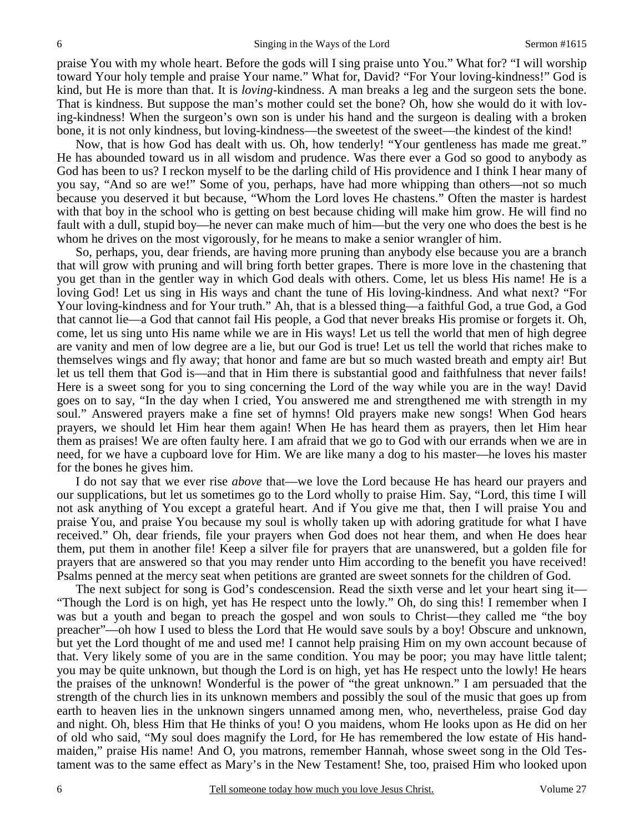praise You with my whole heart. Before the gods will I sing praise unto You." What for? "I will worship toward Your holy temple and praise Your name." What for, David? "For Your loving-kindness!" God is kind, but He is more than that. It is *loving-*kindness. A man breaks a leg and the surgeon sets the bone. That is kindness. But suppose the man's mother could set the bone? Oh, how she would do it with loving-kindness! When the surgeon's own son is under his hand and the surgeon is dealing with a broken bone, it is not only kindness, but loving-kindness—the sweetest of the sweet—the kindest of the kind!

 Now, that is how God has dealt with us. Oh, how tenderly! "Your gentleness has made me great." He has abounded toward us in all wisdom and prudence. Was there ever a God so good to anybody as God has been to us? I reckon myself to be the darling child of His providence and I think I hear many of you say, "And so are we!" Some of you, perhaps, have had more whipping than others—not so much because you deserved it but because, "Whom the Lord loves He chastens." Often the master is hardest with that boy in the school who is getting on best because chiding will make him grow. He will find no fault with a dull, stupid boy—he never can make much of him—but the very one who does the best is he whom he drives on the most vigorously, for he means to make a senior wrangler of him.

 So, perhaps, you, dear friends, are having more pruning than anybody else because you are a branch that will grow with pruning and will bring forth better grapes. There is more love in the chastening that you get than in the gentler way in which God deals with others. Come, let us bless His name! He is a loving God! Let us sing in His ways and chant the tune of His loving-kindness. And what next? "For Your loving-kindness and for Your truth." Ah, that is a blessed thing—a faithful God, a true God, a God that cannot lie—a God that cannot fail His people, a God that never breaks His promise or forgets it. Oh, come, let us sing unto His name while we are in His ways! Let us tell the world that men of high degree are vanity and men of low degree are a lie, but our God is true! Let us tell the world that riches make to themselves wings and fly away; that honor and fame are but so much wasted breath and empty air! But let us tell them that God is—and that in Him there is substantial good and faithfulness that never fails! Here is a sweet song for you to sing concerning the Lord of the way while you are in the way! David goes on to say, "In the day when I cried, You answered me and strengthened me with strength in my soul." Answered prayers make a fine set of hymns! Old prayers make new songs! When God hears prayers, we should let Him hear them again! When He has heard them as prayers, then let Him hear them as praises! We are often faulty here. I am afraid that we go to God with our errands when we are in need, for we have a cupboard love for Him. We are like many a dog to his master—he loves his master for the bones he gives him.

 I do not say that we ever rise *above* that—we love the Lord because He has heard our prayers and our supplications, but let us sometimes go to the Lord wholly to praise Him. Say, "Lord, this time I will not ask anything of You except a grateful heart. And if You give me that, then I will praise You and praise You, and praise You because my soul is wholly taken up with adoring gratitude for what I have received." Oh, dear friends, file your prayers when God does not hear them, and when He does hear them, put them in another file! Keep a silver file for prayers that are unanswered, but a golden file for prayers that are answered so that you may render unto Him according to the benefit you have received! Psalms penned at the mercy seat when petitions are granted are sweet sonnets for the children of God.

 The next subject for song is God's condescension. Read the sixth verse and let your heart sing it— "Though the Lord is on high, yet has He respect unto the lowly." Oh, do sing this! I remember when I was but a youth and began to preach the gospel and won souls to Christ—they called me "the boy preacher"—oh how I used to bless the Lord that He would save souls by a boy! Obscure and unknown, but yet the Lord thought of me and used me! I cannot help praising Him on my own account because of that. Very likely some of you are in the same condition. You may be poor; you may have little talent; you may be quite unknown, but though the Lord is on high, yet has He respect unto the lowly! He hears the praises of the unknown! Wonderful is the power of "the great unknown." I am persuaded that the strength of the church lies in its unknown members and possibly the soul of the music that goes up from earth to heaven lies in the unknown singers unnamed among men, who, nevertheless, praise God day and night. Oh, bless Him that He thinks of you! O you maidens, whom He looks upon as He did on her of old who said, "My soul does magnify the Lord, for He has remembered the low estate of His handmaiden," praise His name! And O, you matrons, remember Hannah, whose sweet song in the Old Testament was to the same effect as Mary's in the New Testament! She, too, praised Him who looked upon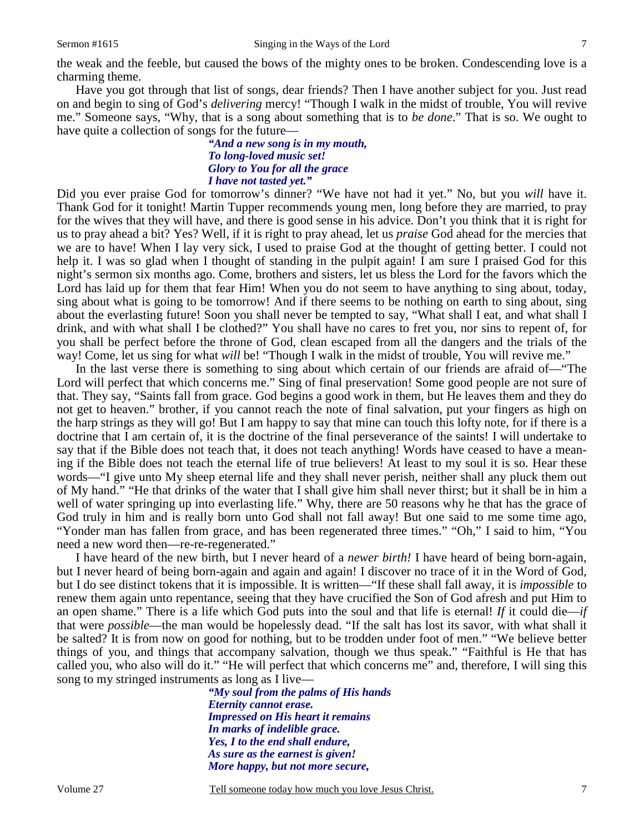the weak and the feeble, but caused the bows of the mighty ones to be broken. Condescending love is a charming theme.

 Have you got through that list of songs, dear friends? Then I have another subject for you. Just read on and begin to sing of God's *delivering* mercy! "Though I walk in the midst of trouble, You will revive me." Someone says, "Why, that is a song about something that is to *be done*." That is so. We ought to have quite a collection of songs for the future—

#### *"And a new song is in my mouth, To long-loved music set! Glory to You for all the grace I have not tasted yet."*

Did you ever praise God for tomorrow's dinner? "We have not had it yet." No, but you *will* have it. Thank God for it tonight! Martin Tupper recommends young men, long before they are married, to pray for the wives that they will have, and there is good sense in his advice. Don't you think that it is right for us to pray ahead a bit? Yes? Well, if it is right to pray ahead, let us *praise* God ahead for the mercies that we are to have! When I lay very sick, I used to praise God at the thought of getting better. I could not help it. I was so glad when I thought of standing in the pulpit again! I am sure I praised God for this night's sermon six months ago. Come, brothers and sisters, let us bless the Lord for the favors which the Lord has laid up for them that fear Him! When you do not seem to have anything to sing about, today, sing about what is going to be tomorrow! And if there seems to be nothing on earth to sing about, sing about the everlasting future! Soon you shall never be tempted to say, "What shall I eat, and what shall I drink, and with what shall I be clothed?" You shall have no cares to fret you, nor sins to repent of, for you shall be perfect before the throne of God, clean escaped from all the dangers and the trials of the way! Come, let us sing for what *will* be! "Though I walk in the midst of trouble, You will revive me."

 In the last verse there is something to sing about which certain of our friends are afraid of—"The Lord will perfect that which concerns me." Sing of final preservation! Some good people are not sure of that. They say, "Saints fall from grace. God begins a good work in them, but He leaves them and they do not get to heaven." brother, if you cannot reach the note of final salvation, put your fingers as high on the harp strings as they will go! But I am happy to say that mine can touch this lofty note, for if there is a doctrine that I am certain of, it is the doctrine of the final perseverance of the saints! I will undertake to say that if the Bible does not teach that, it does not teach anything! Words have ceased to have a meaning if the Bible does not teach the eternal life of true believers! At least to my soul it is so. Hear these words—"I give unto My sheep eternal life and they shall never perish, neither shall any pluck them out of My hand." "He that drinks of the water that I shall give him shall never thirst; but it shall be in him a well of water springing up into everlasting life." Why, there are 50 reasons why he that has the grace of God truly in him and is really born unto God shall not fall away! But one said to me some time ago, "Yonder man has fallen from grace, and has been regenerated three times." "Oh," I said to him, "You need a new word then—re-re-regenerated."

 I have heard of the new birth, but I never heard of a *newer birth!* I have heard of being born-again, but I never heard of being born-again and again and again! I discover no trace of it in the Word of God, but I do see distinct tokens that it is impossible. It is written—"If these shall fall away, it is *impossible* to renew them again unto repentance, seeing that they have crucified the Son of God afresh and put Him to an open shame." There is a life which God puts into the soul and that life is eternal! *If* it could die—*if* that were *possible*—the man would be hopelessly dead. "If the salt has lost its savor, with what shall it be salted? It is from now on good for nothing, but to be trodden under foot of men." "We believe better things of you, and things that accompany salvation, though we thus speak." "Faithful is He that has called you, who also will do it." "He will perfect that which concerns me" and, therefore, I will sing this song to my stringed instruments as long as I live—

*"My soul from the palms of His hands Eternity cannot erase. Impressed on His heart it remains In marks of indelible grace. Yes, I to the end shall endure, As sure as the earnest is given! More happy, but not more secure,*